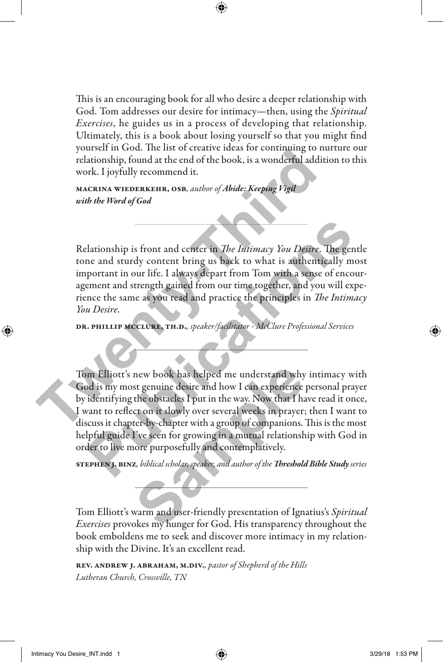This is an encouraging book for all who desire a deeper relationship with God. Tom addresses our desire for intimacy—then, using the *Spiritual Exercises*, he guides us in a process of developing that relationship. Ultimately, this is a book about losing yourself so that you might find yourself in God. The list of creative ideas for continuing to nurture our relationship, found at the end of the book, is a wonderful addition to this work. I joyfully recommend it.

macrina wiederkehr, osb*, author of Abide: Keeping Vigil with the Word of God*

Relationship is front and center in *The Intimacy You Desire*. The gentle tone and sturdy content bring us back to what is authentically most important in our life. I always depart from Tom with a sense of encouragement and strength gained from our time together, and you will experience the same as you read and practice the principles in *The Intimacy You Desire*. For the model of the state of the and the state of the state of the state of the book, is a wonderful additional work. I joyfully recommend it.<br> **MACKING WEIGHT AND THE STAND WAS A SET AND THE WATER WAS A STARD WATER WAS A** 

DR. PHILLIP MCCLURE, TH.D., speaker/facilitator - McClure Professional Services

Tom Elliott's new book has helped me understand why intimacy with God is my most genuine desire and how I can experience personal prayer by identifying the obstacles I put in the way. Now that I have read it once, I want to reflect on it slowly over several weeks in prayer; then I want to discuss it chapter-by-chapter with a group of companions. This is the most helpful guide I've seen for growing in a mutual relationship with God in order to live more purposefully and contemplatively. Extra triangle is front and center in *The Intimacy You Desire*. The gentle<br>ne and sturdy content bring us back to what is authentically most<br>portant in our life. I always depart from Tom with a sense of encour-<br>portant an new book has helped me understand why<br>st genuine desire and how I can experience<br>the obstacles I put in the way. Now that I ha<br>ct on it slowly over several weeks in prayer;<br>ter-by-chapter with a group of companions.<br>I've s

stephen j. binz*, biblical scholar, speaker, and author of the Threshold Bible Study series*

Tom Elliott's warm and user-friendly presentation of Ignatius's *Spiritual Exercises* provokes my hunger for God. His transparency throughout the book emboldens me to seek and discover more intimacy in my relationship with the Divine. It's an excellent read.

rev. andrew j. abraham, m.div.*, pastor of Shepherd of the Hills Lutheran Church, Crossville, TN*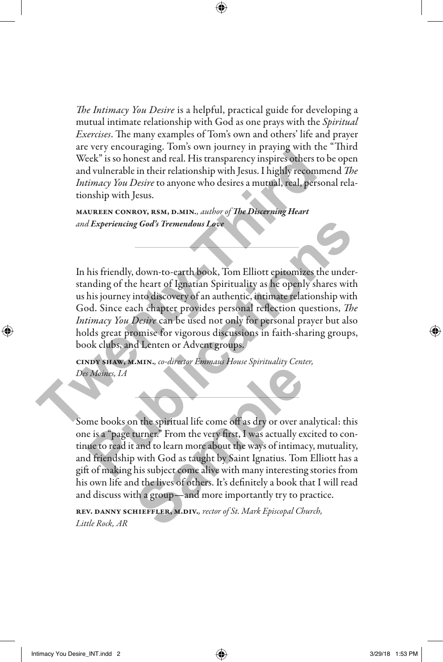*The Intimacy You Desire* is a helpful, practical guide for developing a mutual intimate relationship with God as one prays with the *Spiritual Exercises*. The many examples of Tom's own and others' life and prayer are very encouraging. Tom's own journey in praying with the "Third Week" is so honest and real. His transparency inspires others to be open and vulnerable in their relationship with Jesus. I highly recommend *The Intimacy You Desire* to anyone who desires a mutual, real, personal relationship with Jesus.

maureen conroy, rsm, d.min*., author of The Discerning Heart and Experiencing God's Tremendous Love*

In his friendly, down-to-earth book, Tom Elliott epitomizes the understanding of the heart of Ignatian Spirituality as he openly shares with us his journey into discovery of an authentic, intimate relationship with God. Since each chapter provides personal reflection questions, *The Intimacy You Desire* can be used not only for personal prayer but also holds great promise for vigorous discussions in faith-sharing groups, book clubs, and Lenten or Advent groups. Week" is so honest and real. His transparency inspires others to be<br>and vulnerable in their relationship with Jesus. I highly recommend<br>and vulnerable in their relationship with Jesus. I highly recomment<br>*Intimacy You Desi Publication Color Publication Love*<br> *Publication Color* **Publication Color Analytical Color Color Color and the publication of the heart of Ignatian Spirituality as he openly shares with<br>
his journey into discovery of** 

cindy shaw, m.min.*, co-director Emmaus House Spirituality Center, Des Moines, IA*

Some books on the spiritual life come off as dry or over analytical: this one is a "page turner." From the very first, I was actually excited to continue to read it and to learn more about the ways of intimacy, mutuality, and friendship with God as taught by Saint Ignatius. Tom Elliott has a gift of making his subject come alive with many interesting stories from his own life and the lives of others. It's definitely a book that I will read and discuss with a group—and more importantly try to practice. **Sample 19 and the spiritual life come off as dry or over an turner."** From the very first, I was actually example and to learn more about the ways of intimals with God as taught by Saint Ignatius. Tom his subject come ali

rev. danny schieffler, m.div.*, rector of St. Mark Episcopal Church, Little Rock, AR*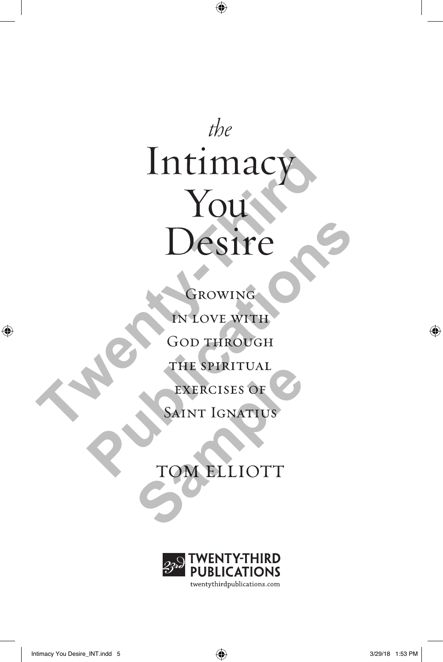$the$ Trimacy<br>
You<br>
Desire<br>
CROWING<br>
CROWING COD THROUGH<br>
THE SPIRITUAL<br>
EXERCISES OF

**PUBLICATE** THE SPIRITUAL

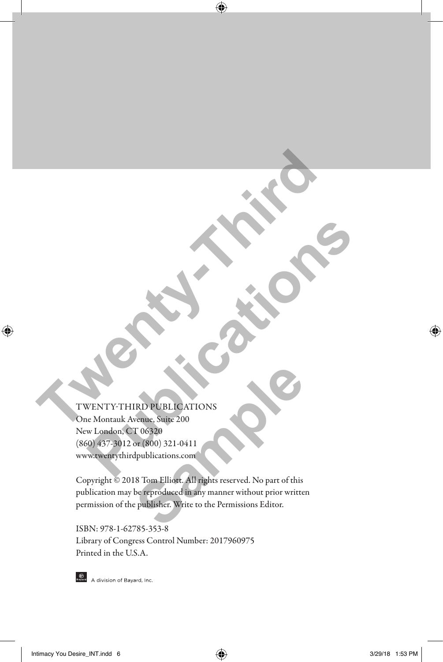### TWENTY-THIRD PUBLICATIONS

One Montauk Avenue, Suite 200 New London, CT 06320 (860) 437-3012 or (800) 321-0411 www.twentythirdpublications.com **TWENTY-THIRD POR LEADER ATOM COMPANY OF COMPANY OF COMPANY OF COMPANY OF COMPANY OF COMPANY OF COMPANY OF COMPANY OF COMPANY OF COMPANY OF COMPANY OF COMPANY OF COMPANY OF COMPANY OF COMPANY OF COMPANY OF COMPANY OF COMPA PUBLICATIONS**<br>
MENTITY-THIRD PUBLICATIONS<br>
MENTITY-THIRD PUBLICATIONS<br>
WE MONTAIN Avenue, Suite 200<br>
WE ADDRIGHT (SO 321<br>
WE ADDRIGHT (SO 321-0411)

Copyright © 2018 Tom Elliott. All rights reserved. No part of this publication may be reproduced in any manner without prior written permission of the publisher. Write to the Permissions Editor. **Sample PUBLICATIONS**<br>
Sample, Suite 200<br>
T 06320<br>
or (800) 321-0411<br>
dpublications.com<br>
18 Tom Elliott. All rights reserved. No part of this<br>
be reproduced in any manner without prior writte<br>
e publisher. Write to the Per

ISBN: 978-1-62785-353-8 Library of Congress Control Number: 2017960975 Printed in the U.S.A.



**One A** division of Bayard, Inc.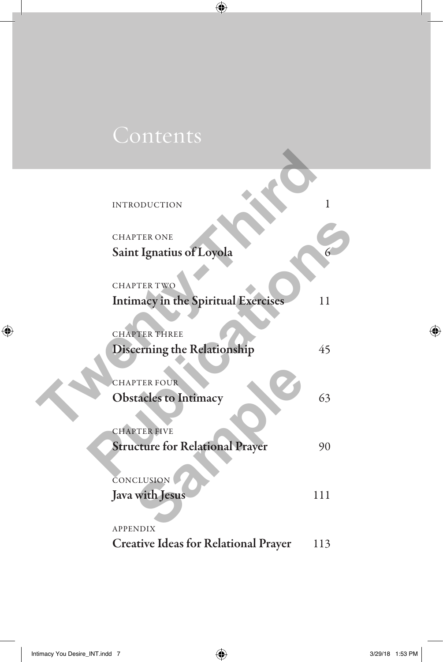$\mathbf{L}$ 

| <b>INTRODUCTION</b>                         | 1   |
|---------------------------------------------|-----|
|                                             |     |
| <b>CHAPTER ONE</b>                          |     |
| Saint Ignatius of Loyola                    |     |
| <b>CHAPTER TWO</b>                          |     |
| <b>Intimacy in the Spiritual Exercises</b>  | 11  |
| <b>CHAPTER THREE</b>                        |     |
| Discerning the Relationship                 | 45  |
| <b>CHAPTER FOUR</b>                         |     |
| <b>Obstacles to Intimacy</b>                | 63  |
| <b>CHAPTER FIVE</b>                         |     |
| <b>Structure for Relational Prayer</b>      | 90  |
| CONCLUSION                                  |     |
| Java with Jesus                             | 111 |
| <b>APPENDIX</b>                             |     |
| <b>Creative Ideas for Relational Prayer</b> | 113 |

 $\mathbf{L}$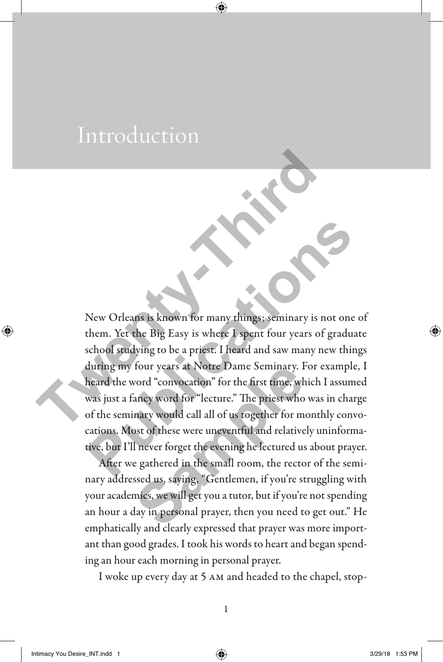## Introduction

New Orleans is known for many things; seminary is not one of them. Yet the Big Easy is where I spent four years of graduate school studying to be a priest. I heard and saw many new things during my four years at Notre Dame Seminary. For example, I heard the word "convocation" for the first time, which I assumed was just a fancy word for "lecture." The priest who was in charge of the seminary would call all of us together for monthly convocations. Most of these were uneventful and relatively uninformative, but I'll never forget the evening he lectured us about prayer. New Orleans is known for many things: seminary is no<br>them. Yet the Big Easy is where I spent four years of g<br>school studying to be a priest. I heard and saw many need<br>uring my four years at Notre Dame Seminary. For ex<br>hear New Orleans is known for many things; seminary is not one of<br>them. Yet the Big Easy is where I spent four years of graduate<br>school studying to be a priest. I heard and saw many new things<br>during my four years at Notre Dame four years at Notre Dame Seminary. For the first time, whancy word for "lecture." The priest who nary would call all of us together for most of these were uneventful and relative I never forget the evening he lectured use

After we gathered in the small room, the rector of the seminary addressed us, saying, "Gentlemen, if you're struggling with your academics, we will get you a tutor, but if you're not spending an hour a day in personal prayer, then you need to get out." He emphatically and clearly expressed that prayer was more important than good grades. I took his words to heart and began spending an hour each morning in personal prayer.

I woke up every day at 5 am and headed to the chapel, stop-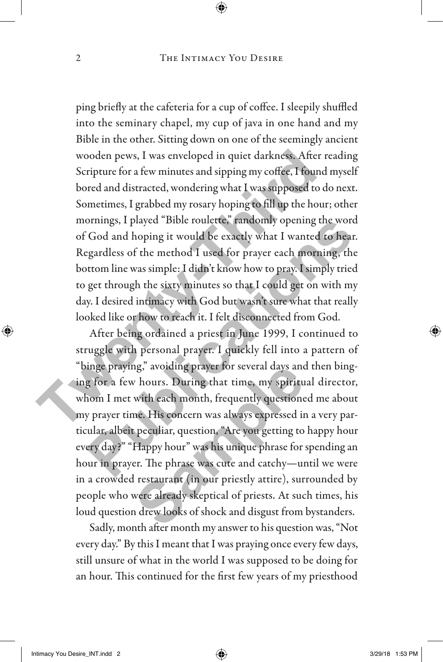ping briefly at the cafeteria for a cup of coffee. I sleepily shuffled into the seminary chapel, my cup of java in one hand and my Bible in the other. Sitting down on one of the seemingly ancient wooden pews, I was enveloped in quiet darkness. After reading Scripture for a few minutes and sipping my coffee, I found myself bored and distracted, wondering what I was supposed to do next. Sometimes, I grabbed my rosary hoping to fill up the hour; other mornings, I played "Bible roulette," randomly opening the word of God and hoping it would be exactly what I wanted to hear. Regardless of the method I used for prayer each morning, the bottom line was simple: I didn't know how to pray. I simply tried to get through the sixty minutes so that I could get on with my day. I desired intimacy with God but wasn't sure what that really looked like or how to reach it. I felt disconnected from God. wooden pews, I was enveloped in quiet darkness. After re<br>Scripture for a few minutes and sipping my coffee, I found i<br>bored and distracted, wondering what I was supposed to do<br>Sometimes, I grabbed my rosary hoping to fill

After being ordained a priest in June 1999, I continued to struggle with personal prayer. I quickly fell into a pattern of "binge praying," avoiding prayer for several days and then binging for a few hours. During that time, my spiritual director, whom I met with each month, frequently questioned me about my prayer time. His concern was always expressed in a very particular, albeit peculiar, question, "Are you getting to happy hour every day?" "Happy hour" was his unique phrase for spending an hour in prayer. The phrase was cute and catchy—until we were in a crowded restaurant (in our priestly attire), surrounded by people who were already skeptical of priests. At such times, his loud question drew looks of shock and disgust from bystanders. betworthought and the product of the product of the product of the product of the product of God and hoping it would be exactly what I wanted to hear. Egardless of the method I used for prayer each morning, the totom line ng, avoiding prayer for several days and<br>the hours. During that time, my spiritu<br>with each month, frequently questione<br>me. His concern was always expressed in<br>the peculiar, question, "Are you getting to<br>Happy hour" was his

Sadly, month after month my answer to his question was, "Not every day." By this I meant that I was praying once every few days, still unsure of what in the world I was supposed to be doing for an hour. This continued for the first few years of my priesthood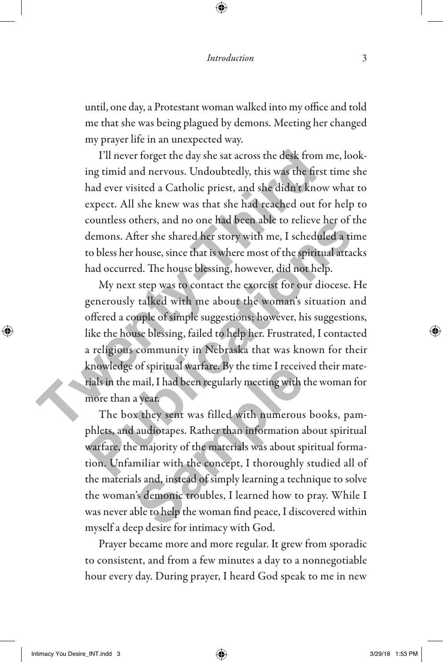until, one day, a Protestant woman walked into my office and told me that she was being plagued by demons. Meeting her changed my prayer life in an unexpected way.

I'll never forget the day she sat across the desk from me, looking timid and nervous. Undoubtedly, this was the first time she had ever visited a Catholic priest, and she didn't know what to expect. All she knew was that she had reached out for help to countless others, and no one had been able to relieve her of the demons. After she shared her story with me, I scheduled a time to bless her house, since that is where most of the spiritual attacks had occurred. The house blessing, however, did not help.

My next step was to contact the exorcist for our diocese. He generously talked with me about the woman's situation and offered a couple of simple suggestions; however, his suggestions, like the house blessing, failed to help her. Frustrated, I contacted a religious community in Nebraska that was known for their knowledge of spiritual warfare. By the time I received their materials in the mail, I had been regularly meeting with the woman for more than a year. I'll never forget the day she sat across the desk from n<br>ing timid and nervous. Undoubtedly, this was the first t<br>had ever visited a Catholic priest, and she didn't know<br>expect. All she knew was that she had reached out fo countless others, and no one had been able to relieve her of the<br>demons. After she shared her story with me, I scheduled a time<br>to bless her house, since that is where most of the spiritual attacks<br>had occurred. The house

The box they sent was filled with numerous books, pamphlets, and audiotapes. Rather than information about spiritual warfare, the majority of the materials was about spiritual formation. Unfamiliar with the concept, I thoroughly studied all of the materials and, instead of simply learning a technique to solve the woman's demonic troubles, I learned how to pray. While I was never able to help the woman find peace, I discovered within myself a deep desire for intimacy with God. of spiritual warfare. By the time I receiv<br>mail, I had been regularly meeting with t<br>a year.<br>x they sent was filled with numerous<br>audiotapes. Rather than information a<br>e majority of the materials was about sp<br>miliar with t

Prayer became more and more regular. It grew from sporadic to consistent, and from a few minutes a day to a nonnegotiable hour every day. During prayer, I heard God speak to me in new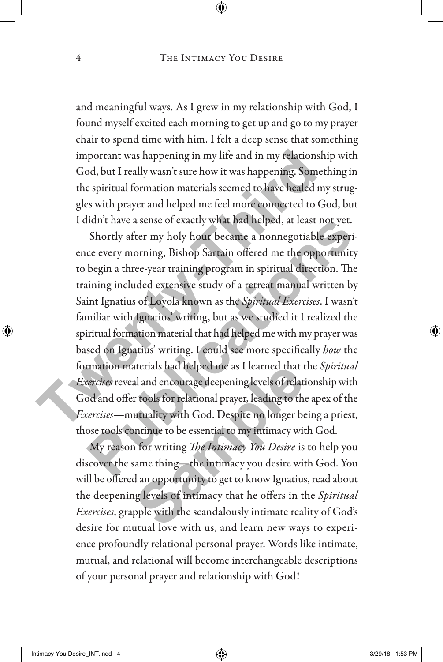and meaningful ways. As I grew in my relationship with God, I found myself excited each morning to get up and go to my prayer chair to spend time with him. I felt a deep sense that something important was happening in my life and in my relationship with God, but I really wasn't sure how it was happening. Something in the spiritual formation materials seemed to have healed my struggles with prayer and helped me feel more connected to God, but I didn't have a sense of exactly what had helped, at least not yet.

Shortly after my holy hour became a nonnegotiable experience every morning, Bishop Sartain offered me the opportunity to begin a three-year training program in spiritual direction. The training included extensive study of a retreat manual written by Saint Ignatius of Loyola known as the *Spiritual Exercises*. I wasn't familiar with Ignatius' writing, but as we studied it I realized the spiritual formation material that had helped me with my prayer was based on Ignatius' writing. I could see more specifically *how* the formation materials had helped me as I learned that the *Spiritual Exercises* reveal and encourage deepening levels of relationship with God and offer tools for relational prayer, leading to the apex of the *Exercises*—mutuality with God. Despite no longer being a priest, those tools continue to be essential to my intimacy with God. important was happening in my life and in my relationship<br>God, but I really wasn't sure how it was happening. Someth<br>the spiritual formation materials seemed to have healed my<br>gles with prayer and helped me feel more conne It that thave a sense of exactly what had helped, at least not yet.<br>
Shortly after my holy hour became a nonnegotiable experi-<br>
ce every morning, Bishop Sartain offered me the opportunity<br>
begin a three-year training progr

My reason for writing *The Intimacy You Desire* is to help you discover the same thing—the intimacy you desire with God. You will be offered an opportunity to get to know Ignatius, read about the deepening levels of intimacy that he offers in the *Spiritual Exercises*, grapple with the scandalously intimate reality of God's desire for mutual love with us, and learn new ways to experience profoundly relational personal prayer. Words like intimate, mutual, and relational will become interchangeable descriptions of your personal prayer and relationship with God! aterials had helped me as I learned that the<br>al and encourage deepening levels of relation<br>r tools for relational prayer, leading to the<br>utuality with God. Despite no longer be<br>ontinue to be essential to my intimacy with<br>a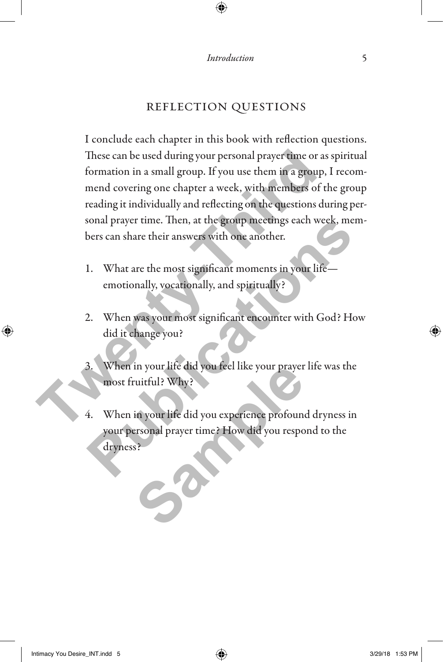#### reflection questions

I conclude each chapter in this book with reflection questions. These can be used during your personal prayer time or as spiritual formation in a small group. If you use them in a group, I recommend covering one chapter a week, with members of the group reading it individually and reflecting on the questions during personal prayer time. Then, at the group meetings each week, members can share their answers with one another. These can be used during your personal prayer time or as<br>formation in a small group. If you use them in a group,<br>mend covering one chapter a week, with members of th<br>reading it individually and reflecting on the questions

- 1. What are the most significant moments in your life emotionally, vocationally, and spiritually?
- 2. When was your most significant encounter with God? How did it change you?
- When in your life did you feel like your prayer life was the most fruitful? Why?
- 4. When in your life did you experience profound dryness in your personal prayer time? How did you respond to the dryness? France Constant Trump and Trayer time. Ihen, at the group meetings each week, members can share their answers with one another.<br> **Publications and the most significant moments in your life—**<br>
emotionally, vocationally, and In your life did you feel like your prayer<br>tuitful? Why?<br>in your life did you experience profound<br>ersonal prayer time? How did you respose?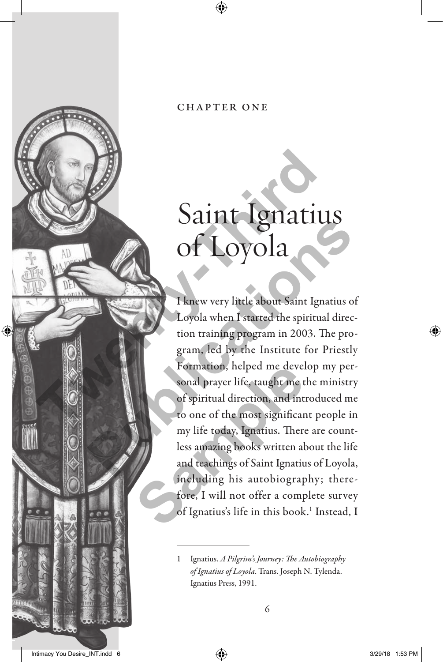#### chapter one

## Saint Ignatius of Loyola

I knew very little about Saint Ignatius of Loyola when I started the spiritual direction training program in 2003. The program, led by the Institute for Priestly Formation, helped me develop my personal prayer life, taught me the ministry of spiritual direction, and introduced me to one of the most significant people in my life today, Ignatius. There are countless amazing books written about the life and teachings of Saint Ignatius of Loyola, including his autobiography; therefore, I will not offer a complete survey of Ignatius's life in this book.<sup>1</sup> Instead, I Saint Ignatiu<br>
Of Loyola<br>
I knew very little about Saint Ignatius<br>
Loyola when I started the spiritual<br>
tion training program in 2003. The<br>
gram, led by the Institute for Pr<br>
Formation, helped me develop m<br>
sonal prayer li **Publication**<br> **Publication**<br> **Publication**<br> **Publication**<br> **Publication**<br> **Publication**<br> **Publication**<br> **Publication**<br> **Publication**<br> **Publication**<br> **Publication**<br> **Publication**<br> **Publication**<br> **Publication**<br> **Publication** Formation, helped me devel<br>sonal prayer life, taught me t<br>of spiritual direction, and int<br>to one of the most significar<br>my life today, Ignatius. There<br>less amazing books written al<br>and teachings of Saint Ignatiu<br>including

<sup>1</sup> Ignatius. *A Pilgrim's Journey: The Autobiography of Ignatius of Loyola*. Trans. Joseph N. Tylenda. Ignatius Press, 1991.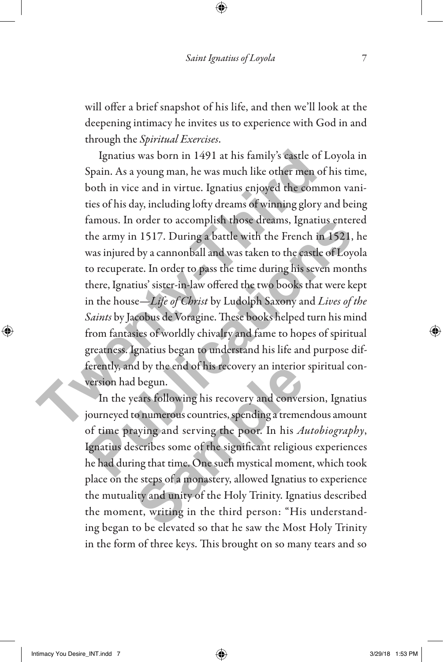will offer a brief snapshot of his life, and then we'll look at the deepening intimacy he invites us to experience with God in and through the *Spiritual Exercises*.

Ignatius was born in 1491 at his family's castle of Loyola in Spain. As a young man, he was much like other men of his time, both in vice and in virtue. Ignatius enjoyed the common vanities of his day, including lofty dreams of winning glory and being famous. In order to accomplish those dreams, Ignatius entered the army in 1517. During a battle with the French in 1521, he was injured by a cannonball and was taken to the castle of Loyola to recuperate. In order to pass the time during his seven months there, Ignatius' sister-in-law offered the two books that were kept in the house—*Life of Christ* by Ludolph Saxony and *Lives of the Saints* by Jacobus de Voragine. These books helped turn his mind from fantasies of worldly chivalry and fame to hopes of spiritual greatness. Ignatius began to understand his life and purpose differently, and by the end of his recovery an interior spiritual conversion had begun. Ignatius was born in 1491 at his family's castle of L<br>Spain. As a young man, he was much like other men of l<br>both in vice and in virtue. Ignatius enjoyed the commeties of his day, including lofty dreams of winning glory a tamous. In order to accomplish those dreams, Ignatius entered<br>the army in 1517. During a battle with the French in 1521, he<br>was injured by a cannonball and was taken to the castle of Loyola<br>to recuperate. In order to pass

In the years following his recovery and conversion, Ignatius journeyed to numerous countries, spending a tremendous amount of time praying and serving the poor. In his *Autobiography*, Ignatius describes some of the significant religious experiences he had during that time. One such mystical moment, which took place on the steps of a monastery, allowed Ignatius to experience the mutuality and unity of the Holy Trinity. Ignatius described the moment, writing in the third person: "His understanding began to be elevated so that he saw the Most Holy Trinity in the form of three keys. This brought on so many tears and so d by the end of his recovery an interior<br>I begun.<br>ears following his recovery and conver<br>co numerous countries, spending a treme<br>aying and serving the poor. In his A<br>secribes some of the significant religiou<br>ing that time.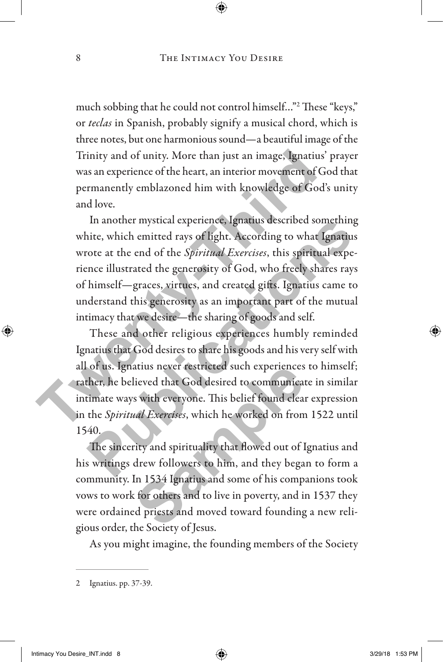much sobbing that he could not control himself…"2 These "keys," or *teclas* in Spanish, probably signify a musical chord, which is three notes, but one harmonious sound—a beautiful image of the Trinity and of unity. More than just an image, Ignatius' prayer was an experience of the heart, an interior movement of God that permanently emblazoned him with knowledge of God's unity and love.

In another mystical experience, Ignatius described something white, which emitted rays of light. According to what Ignatius wrote at the end of the *Spiritual Exercises*, this spiritual experience illustrated the generosity of God, who freely shares rays of himself—graces, virtues, and created gifts. Ignatius came to understand this generosity as an important part of the mutual intimacy that we desire—the sharing of goods and self. Trinity and of unity. More than just an image, Ignatius'<br>
was an experience of the heart, an interior movement of Go<br>
permanently emblazoned him with knowledge of God's<br>
and love.<br>
In another mystical experience, Ignatius

These and other religious experiences humbly reminded Ignatius that God desires to share his goods and his very self with all of us. Ignatius never restricted such experiences to himself; rather, he believed that God desired to communicate in similar intimate ways with everyone. This belief found clear expression in the *Spiritual Exercises*, which he worked on from 1522 until 1540. In another mystical experience, Ignatius described something<br>itte, which emitted rays of light. According to what Ignatius<br>cote at the end of the *Spiritual Exercises*, this spiritual expe-<br>nce illustrated the generosity o

The sincerity and spirituality that flowed out of Ignatius and his writings drew followers to him, and they began to form a community. In 1534 Ignatius and some of his companions took vows to work for others and to live in poverty, and in 1537 they were ordained priests and moved toward founding a new religious order, the Society of Jesus. atius never restricted such experiences<br>lieved that God desired to communicar<br>s with everyone. This belief found clear<br>*ual Exercises*, which he worked on from<br>ity and spirituality that flowed out of I<br>drew followers to hi

As you might imagine, the founding members of the Society

<sup>2</sup> Ignatius. pp. 37-39.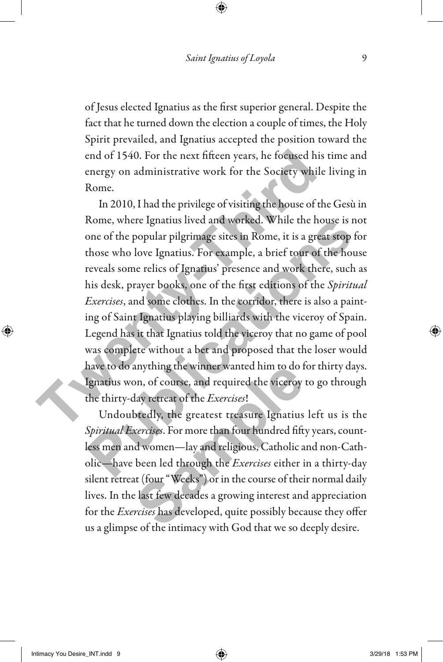of Jesus elected Ignatius as the first superior general. Despite the fact that he turned down the election a couple of times, the Holy Spirit prevailed, and Ignatius accepted the position toward the end of 1540. For the next fifteen years, he focused his time and energy on administrative work for the Society while living in Rome.

In 2010, I had the privilege of visiting the house of the Gesù in Rome, where Ignatius lived and worked. While the house is not one of the popular pilgrimage sites in Rome, it is a great stop for those who love Ignatius. For example, a brief tour of the house reveals some relics of Ignatius' presence and work there, such as his desk, prayer books, one of the first editions of the *Spiritual Exercises*, and some clothes. In the corridor, there is also a painting of Saint Ignatius playing billiards with the viceroy of Spain. Legend has it that Ignatius told the viceroy that no game of pool was complete without a bet and proposed that the loser would have to do anything the winner wanted him to do for thirty days. Ignatius won, of course, and required the viceroy to go through the thirty-day retreat of the *Exercises*! end of 1540. For the next fifteen years, he focused his tenergy on administrative work for the Society while l<br>Rome.<br>In 2010, I had the privilege of visiting the house of the<br>Rome, where Ignatius lived and worked. While th Rome, where Ignatius lived and worked. While the house is not<br>one of the popular pilgrimage sites in Rome, it is a great stop for<br>those who love Ignatius. For example, a brief tour of the house<br>reveals some relics of Ignat

Undoubtedly, the greatest treasure Ignatius left us is the *Spiritual Exercises*. For more than four hundred fifty years, countless men and women—lay and religious, Catholic and non-Catholic—have been led through the *Exercises* either in a thirty-day silent retreat (four "Weeks") or in the course of their normal daily lives. In the last few decades a growing interest and appreciation for the *Exercises* has developed, quite possibly because they offer us a glimpse of the intimacy with God that we so deeply desire. anything the winner wanted him to do f<br>on, of course, and required the viceroy<br>day retreat of the *Exercises*!<br>btedly, the greatest treasure Ignatius<br>*xercises*. For more than four hundred fift<br>d women—lay and religious, C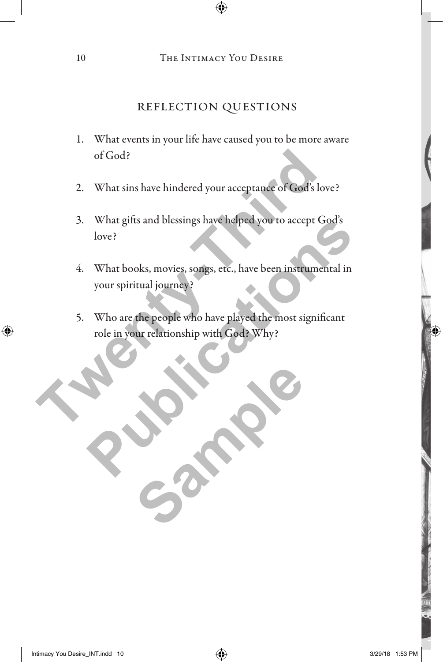### reflection questions

- 1. What events in your life have caused you to be more aware of God?
- 2. What sins have hindered your acceptance of God's love?
- 3. What gifts and blessings have helped you to accept God's love? of God?<br>
2. What sins have hindered your acceptance of God's love<br>
3. What gifts and blessings have helped you to accept Go<br>
love?<br>
4. What books, movies, songs, etc., have been instrument<br>
your spiritual journey?<br>
5. Who
	- 4. What books, movies, songs, etc., have been instrumental in your spiritual journey? What gitts and blessings have helped you to accept God's<br>love?<br>What books, movies, songs, etc., have been instrumental in<br>your spiritual journey?<br>Who are the people who have played the most significant<br>role in your relatio
	- 5. Who are the people who have played the most significant role in your relationship with God? Why?

Sample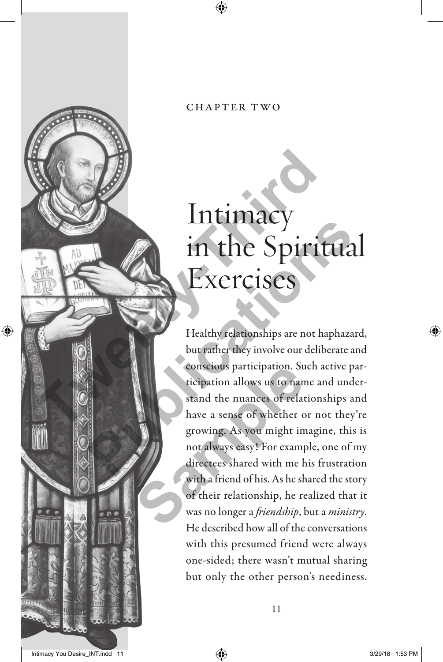# Intimacy in the Spiritual Exercises Intimacy<br>
Intimacy<br>
in the Spirit<br>
Exercises<br>
Healthy relationships are not happens<br>
but rather they involve our delibe<br>
conscious participation. Such acc<br>
ticipation allows us to name and<br>
stand the nuances of relationshi

Healthy relationships are not haphazard, but rather they involve our deliberate and conscious participation. Such active participation allows us to name and understand the nuances of relationships and have a sense of whether or not they're growing. As you might imagine, this is not always easy! For example, one of my directees shared with me his frustration with a friend of his. As he shared the story of their relationship, he realized that it was no longer a *friendship*, but a *ministry*. He described how all of the conversations with this presumed friend were always one-sided; there wasn't mutual sharing but only the other person's neediness. **Publication**<br> **Publications 3 and the Spiritual**<br> **Publications 3 and the Spiritual**<br> **Publications Actionships are not haphazard,**<br>
but rather they involve our deliberate and<br>
conscious participation. Such active partici conscious participation. Su<br>ticipation allows us to nan<br>stand the nuances of relat<br>have a sense of whether c<br>growing. As you might in<br>not always easy! For examp<br>directees shared with me h<br>with a friend of his. As he sh<br>of